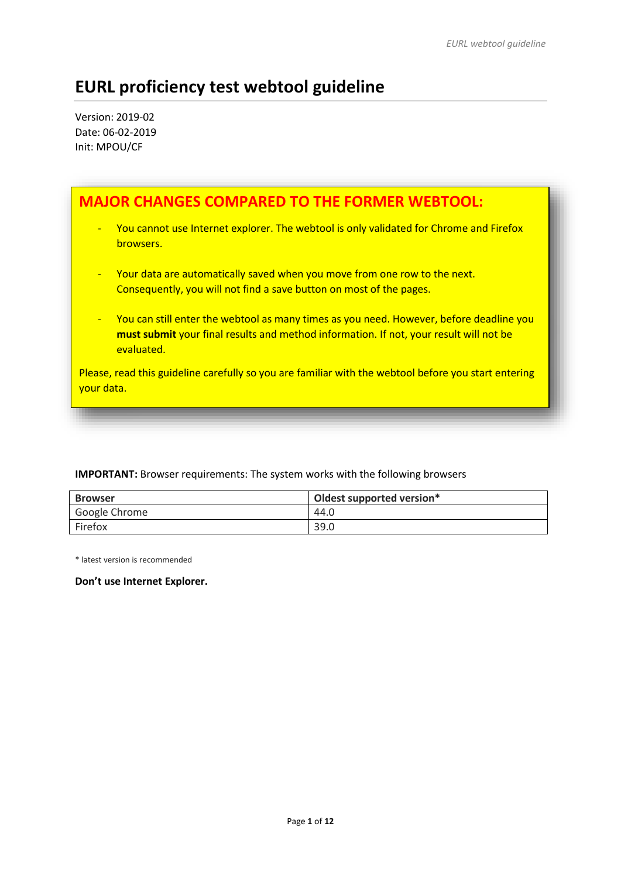# **EURL proficiency test webtool guideline**

Version: 2019-02 Date: 06-02-2019 Init: MPOU/CF

| <b>MAJOR CHANGES COMPARED TO THE FORMER WEBTOOL:</b>                                                                                                                                                              |
|-------------------------------------------------------------------------------------------------------------------------------------------------------------------------------------------------------------------|
| You cannot use Internet explorer. The webtool is only validated for Chrome and Firefox<br>$\overline{\phantom{a}}$<br>browsers.                                                                                   |
| Your data are automatically saved when you move from one row to the next.<br>$\blacksquare$<br>Consequently, you will not find a save button on most of the pages.                                                |
| You can still enter the webtool as many times as you need. However, before deadline you<br>$\blacksquare$<br>must submit your final results and method information. If not, your result will not be<br>evaluated. |
| Please, read this guideline carefully so you are familiar with the webtool before you start entering<br>your data.                                                                                                |

## **IMPORTANT:** Browser requirements: The system works with the following browsers

| <b>Browser</b> | Oldest supported version* |
|----------------|---------------------------|
| Google Chrome  | 44.0                      |
| Firefox        | 39.0                      |

\* latest version is recommended

# **Don't use Internet Explorer.**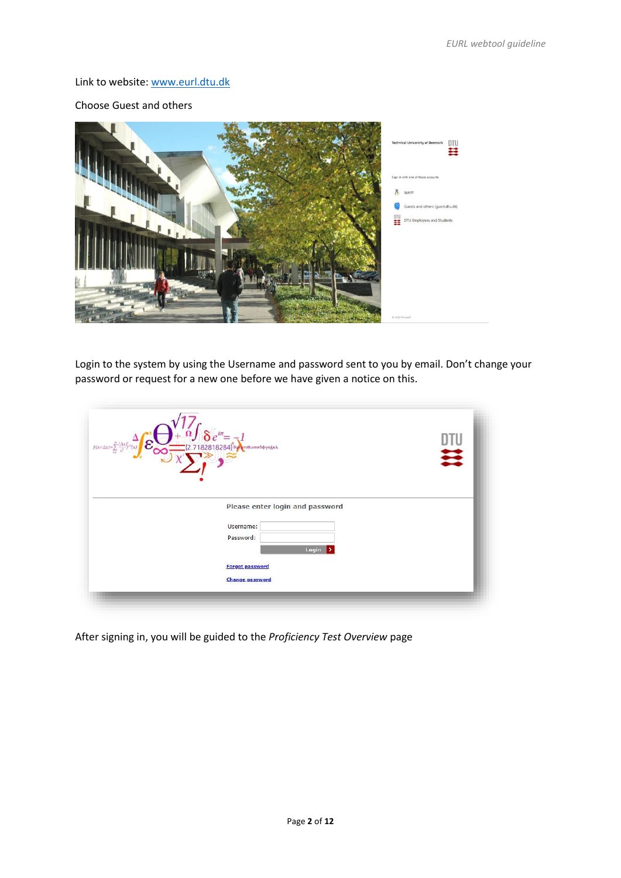### Link to website: [www.eurl.dtu.dk](http://www.eurl.dtu.dk/)

## Choose Guest and others



Login to the system by using the Username and password sent to you by email. Don't change your password or request for a new one before we have given a notice on this.

| $f(x+\Delta x)=\sum_{i=0}^{\infty}\frac{(\Delta x)}{i!}$<br>πυθιοποδφγηξκλ | 芸 |
|----------------------------------------------------------------------------|---|
| Please enter login and password<br>Username:<br>Password:<br>Login<br>∣⊁   |   |
| <b>Forgot password</b><br><b>Change password</b>                           |   |

After signing in, you will be guided to the *Proficiency Test Overview* page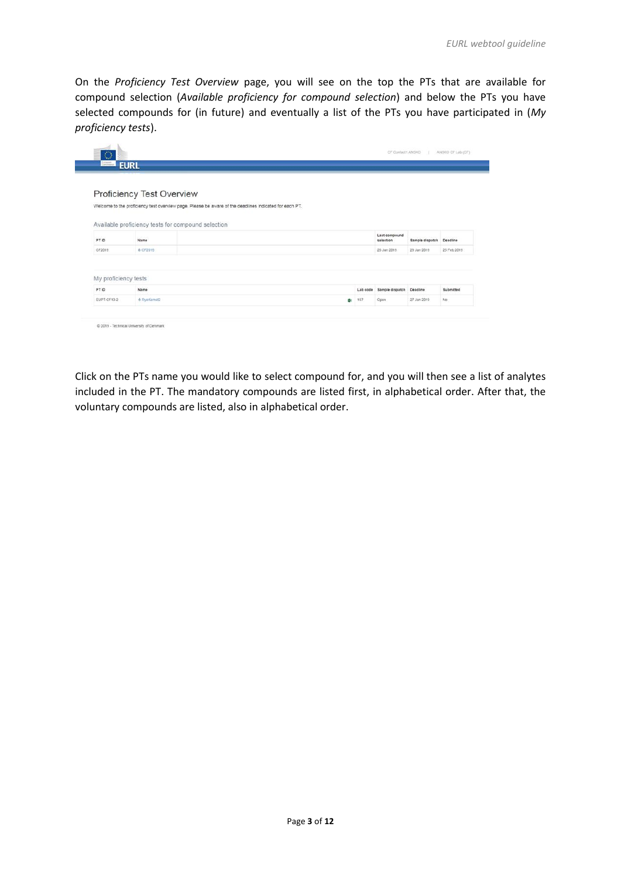On the *Proficiency Test Overview* page, you will see on the top the PTs that are available for compound selection (*Available proficiency for compound selection*) and below the PTs you have selected compounds for (in future) and eventually a list of the PTs you have participated in (*My proficiency tests*).

|                               | <b>EURL</b>                                        |                                                                                                        |                                   |                 |             |
|-------------------------------|----------------------------------------------------|--------------------------------------------------------------------------------------------------------|-----------------------------------|-----------------|-------------|
|                               | Proficiency Test Overview                          |                                                                                                        |                                   |                 |             |
|                               |                                                    | Welcome to the proficiency test overview page. Please be aware of the deadlines indicated for each PT. |                                   |                 |             |
|                               |                                                    |                                                                                                        |                                   |                 |             |
|                               | Available proficiency tests for compound selection |                                                                                                        |                                   |                 |             |
|                               |                                                    |                                                                                                        |                                   |                 |             |
|                               | Name                                               |                                                                                                        | Last compound<br>selection        | Sample dispatch | Deadline    |
| PTID<br>CF2019                | 0.CF2019                                           |                                                                                                        | 28 Jan 2019                       | 29 Jan 2019     | 25 Feb 2019 |
|                               |                                                    |                                                                                                        |                                   |                 |             |
|                               |                                                    |                                                                                                        |                                   |                 |             |
| My proficiency tests<br>PT ID | Name                                               |                                                                                                        | Lab code Sample dispatch Deadline |                 | Submitted   |

Click on the PTs name you would like to select compound for, and you will then see a list of analytes included in the PT. The mandatory compounds are listed first, in alphabetical order. After that, the voluntary compounds are listed, also in alphabetical order.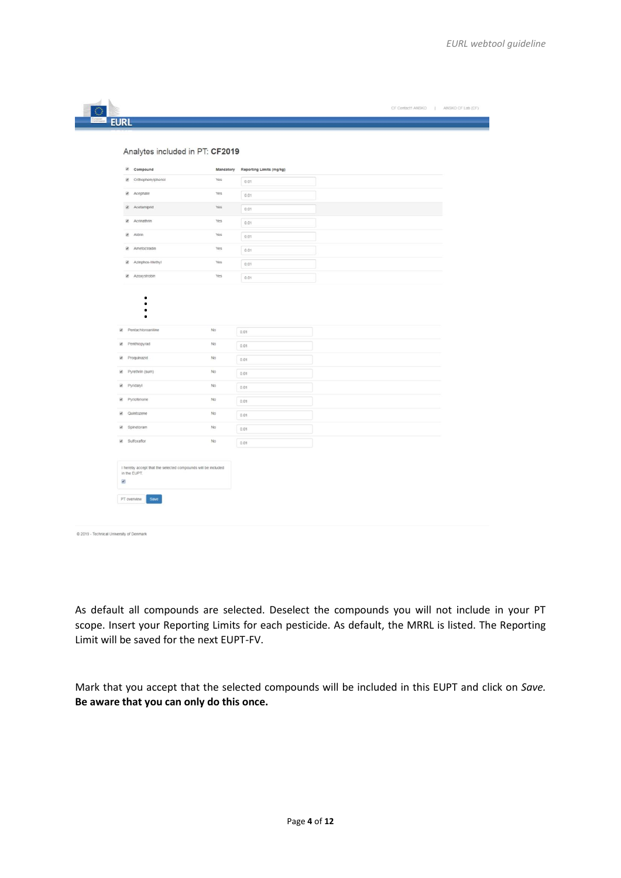| E Compound<br>@ Orthophenylphenol                              | Yes         | Mandatory Reporting Limits (mg/kg) |  |
|----------------------------------------------------------------|-------------|------------------------------------|--|
|                                                                |             | 0.01                               |  |
| Acephate                                                       | Yes         | 0.01                               |  |
| Acetamiprid                                                    | Yes         | 0.01                               |  |
| <b>E</b> Acrinathrin                                           | Yes         | 0.01                               |  |
| Aldrin                                                         | Yes         | 0.01                               |  |
| <b>E</b> Ametoctradin                                          | Yes         | 0.01                               |  |
| Azinphos-Methyl                                                | Yes         | 0.01                               |  |
| R Azoxystrobin                                                 | Yes         | 0.01                               |  |
| $\bullet$<br>$\bullet$<br>٠<br>$\bullet$<br>Pentachloroaniline | No          | 0.01                               |  |
|                                                                |             |                                    |  |
| Penthiopyrad<br>Proquinazid                                    | No<br>No    | 0.01                               |  |
|                                                                | No          | 0.01                               |  |
| iii. Pyrethrin (sum)                                           |             | 0.01                               |  |
| Pyridalyl                                                      | No          | 0.01                               |  |
| Pyriofenone<br>Cuintozene                                      | No          | 0.01                               |  |
|                                                                | No          | 0.01                               |  |
| Spinetoram                                                     | $_{\rm No}$ | 0.01                               |  |
| in Sulfoxaflor                                                 | No          | 0.01                               |  |
| I hereby accept that the selected compounds will be included   |             |                                    |  |

As default all compounds are selected. Deselect the compounds you will not include in your PT scope. Insert your Reporting Limits for each pesticide. As default, the MRRL is listed. The Reporting Limit will be saved for the next EUPT-FV.

Mark that you accept that the selected compounds will be included in this EUPT and click on *Save.*  **Be aware that you can only do this once.**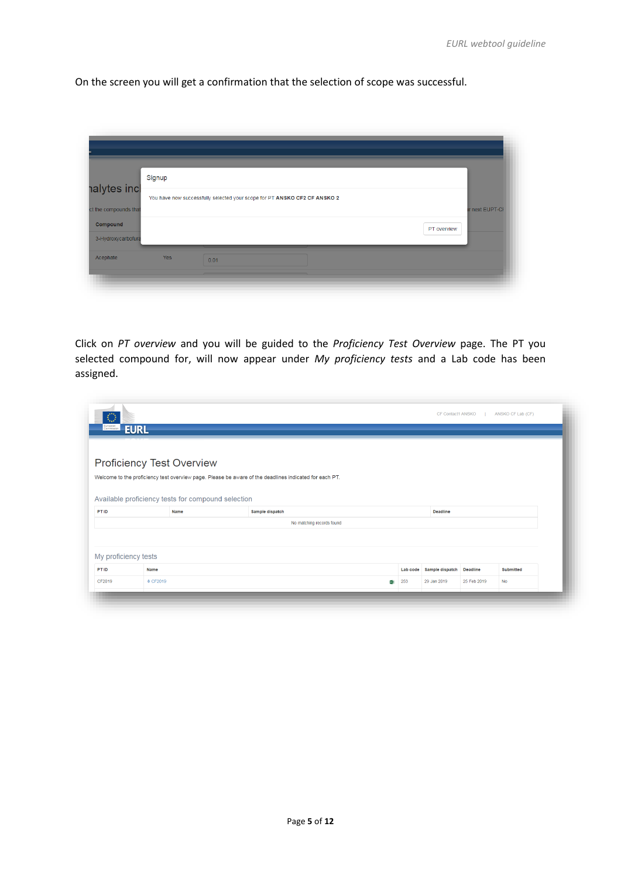On the screen you will get a confirmation that the selection of scope was successful.

|                                       | Signup |                                                                           |             |                 |
|---------------------------------------|--------|---------------------------------------------------------------------------|-------------|-----------------|
| halytes incl<br>ct the compounds that |        | You have now successfully selected your scope for PT ANSKO CF2 CF ANSKO 2 |             | Ir next EUPT-CI |
| Compound                              |        |                                                                           | PT overview |                 |
| 3-Hydroxycarbofura                    |        |                                                                           |             |                 |
| Acephate                              | Yes    | 0.01                                                                      |             |                 |
|                                       |        |                                                                           |             |                 |

Click on *PT overview* and you will be guided to the *Proficiency Test Overview* page. The PT you selected compound for, will now appear under *My proficiency tests* and a Lab code has been assigned.

| $\circ$<br>European  | <b>EURL</b>                                        |                                                                                                        |                           |          | CF Contact1 ANSKO |                 | ANSKO CF Lab (CF) |
|----------------------|----------------------------------------------------|--------------------------------------------------------------------------------------------------------|---------------------------|----------|-------------------|-----------------|-------------------|
|                      | Proficiency Test Overview                          |                                                                                                        |                           |          |                   |                 |                   |
|                      |                                                    | Welcome to the proficiency test overview page. Please be aware of the deadlines indicated for each PT. |                           |          |                   |                 |                   |
|                      |                                                    |                                                                                                        |                           |          |                   |                 |                   |
|                      | Available proficiency tests for compound selection |                                                                                                        |                           |          |                   |                 |                   |
| PT ID                | Name                                               | Sample dispatch                                                                                        |                           |          | Deadline          |                 |                   |
|                      |                                                    |                                                                                                        | No matching records found |          |                   |                 |                   |
|                      |                                                    |                                                                                                        |                           |          |                   |                 |                   |
|                      |                                                    |                                                                                                        |                           |          |                   |                 |                   |
| My proficiency tests |                                                    |                                                                                                        |                           |          |                   |                 |                   |
| PT ID                | <b>Name</b>                                        |                                                                                                        |                           | Lab code | Sample dispatch   | <b>Deadline</b> | <b>Submitted</b>  |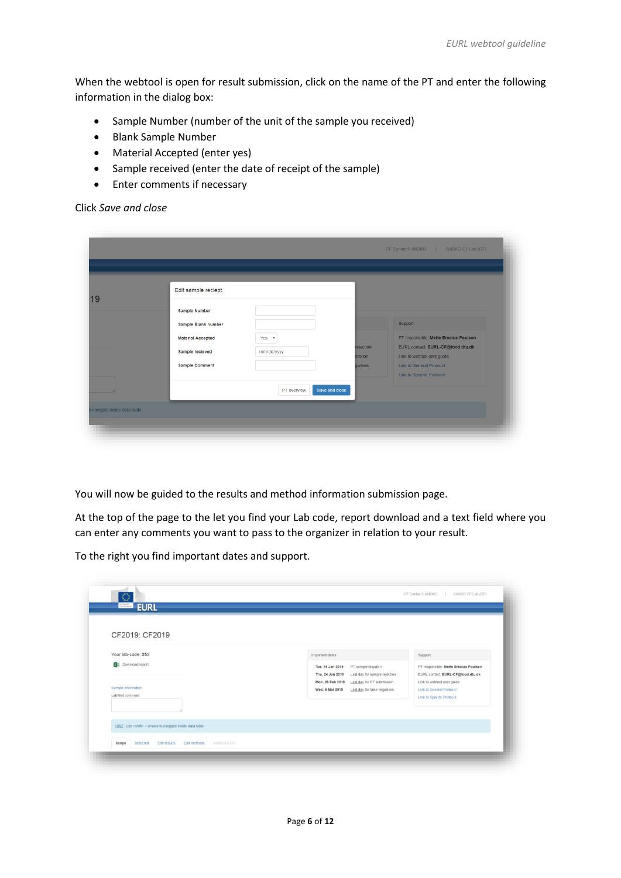When the webtool is open for result submission, click on the name of the PT and enter the following information in the dialog box:

- Sample Number (number of the unit of the sample you received)
- Blank Sample Number
- Material Accepted (enter yes)
- Sample received (enter the date of receipt of the sample)
- Enter comments if necessary

Click *Save and close*

| Edit sample reciept      |             |                      |                                                                 |
|--------------------------|-------------|----------------------|-----------------------------------------------------------------|
| <b>Sample Number</b>     |             |                      |                                                                 |
| Sample Blank number      |             |                      | Support                                                         |
| <b>Material Accepted</b> | $Yes$ $*$   |                      | PT responsible: Mette Erecius Poulsen                           |
| Sample recieved          | mm/dd/yyyy  | rejection<br>nission | EURL contact: EURL-CF@food.dtu.dk<br>Link to webtool user guide |
| <b>Sample Comment</b>    |             | <b>gatives</b>       | <b>Link to General Protocol</b>                                 |
|                          |             |                      | Link to Specific Protocol                                       |
|                          | PT overview | Save and close       |                                                                 |

You will now be guided to the results and method information submission page.

At the top of the page to the let you find your Lab code, report download and a text field where you can enter any comments you want to pass to the organizer in relation to your result.

To the right you find important dates and support.

| CF2019: CF2019                                                 |                                                                                                                                                                                                  |                                                                                                                                                                   |
|----------------------------------------------------------------|--------------------------------------------------------------------------------------------------------------------------------------------------------------------------------------------------|-------------------------------------------------------------------------------------------------------------------------------------------------------------------|
| Your lab-code: 253                                             | Important dates                                                                                                                                                                                  | Support                                                                                                                                                           |
| ×B<br>Download report<br>Sample information<br>LabTest comment | Tue, 15 Jan 2019<br>PT sample dispatch<br>Thu, 24 Jan 2019<br>Last day for sample rejection<br>Mon, 25 Feb 2019<br>Last day for PT submission<br>Wed, 6 Mar 2019<br>Last day for false negatives | PT responsible: Mette Erecius Poulsen<br>EURL contact: EURL-CF@food.dtu.dk<br>Link to webtool user guide<br>Link to General Protocol<br>Link to Specific Protocol |
|                                                                |                                                                                                                                                                                                  |                                                                                                                                                                   |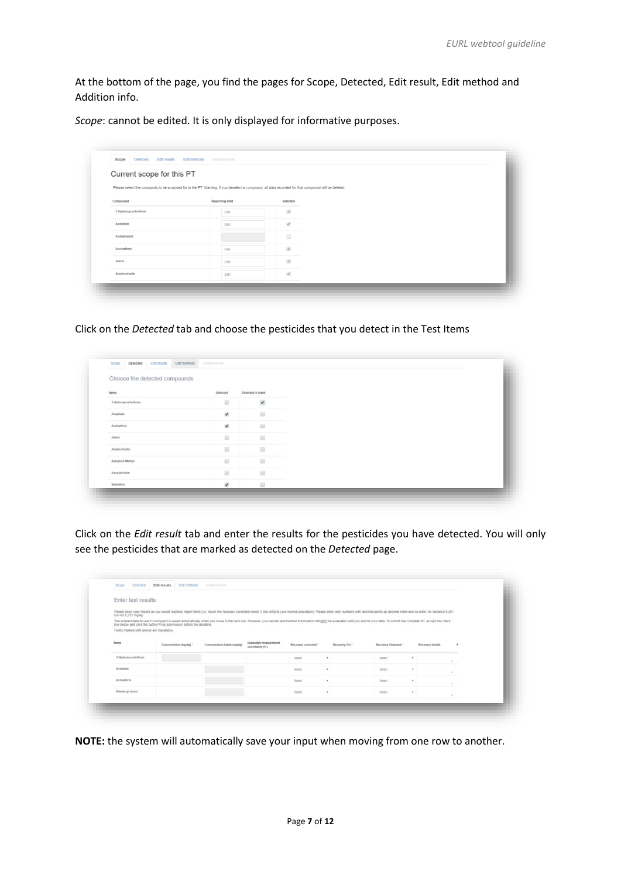At the bottom of the page, you find the pages for Scope, Detected, Edit result, Edit method and Addition info.

*Scope*: cannot be edited. It is only displayed for informative purposes.

| Current scope for this PT | Please select the compunds to be analysed for in the PT. Warning: if you deselect a compound, all data recorded for that compound will be deleted. |                      |  |
|---------------------------|----------------------------------------------------------------------------------------------------------------------------------------------------|----------------------|--|
| Compound                  | <b>Reporting limit</b>                                                                                                                             | Selected             |  |
| 3-Hydroxycarbofuran       | 0.01                                                                                                                                               | $\mathcal{A}$        |  |
| Acephate                  | 0.01                                                                                                                                               | $\mathcal{A}$        |  |
| Acetamiprid               |                                                                                                                                                    | $\qquad \qquad \Box$ |  |
| Acrinathrin               | 0.01                                                                                                                                               | $\mathcal{A}$        |  |
| Aldrin                    | 0.01                                                                                                                                               | $\mathcal{A}$        |  |
| Ametoctradin              | 0.01                                                                                                                                               | $\mathcal{A}$        |  |

Click on the *Detected* tab and choose the pesticides that you detect in the Test Items

| Choose the detected compounds |                          |                          |  |
|-------------------------------|--------------------------|--------------------------|--|
| Name                          | Detected                 | Detected in blank        |  |
| 3-Hydroxycarbofuran           | 回                        | $\overline{\mathcal{L}}$ |  |
| Acephate                      | $\overline{\mathcal{L}}$ | 回                        |  |
| Acrinathrin                   | $\overline{\mathcal{L}}$ | 回                        |  |
| Aldrin                        | 田                        | 田                        |  |
| Ametoctradin                  | <b>B</b>                 | $\Box$                   |  |
| Azinphos-Methyl               | 8                        | 回                        |  |
| Azoxystrobin                  | 田                        | 8                        |  |
| Bifenthrin                    | $\overline{\mathcal{L}}$ | 田                        |  |

Click on the *Edit result* tab and enter the results for the pesticides you have detected. You will only see the pesticides that are marked as detected on the *Detected* page.

| Enter test results                        |                                                                                                                                                                                                                                                                                                       |                             |                                         |                      |                |                     |                  |  |
|-------------------------------------------|-------------------------------------------------------------------------------------------------------------------------------------------------------------------------------------------------------------------------------------------------------------------------------------------------------|-----------------------------|-----------------------------------------|----------------------|----------------|---------------------|------------------|--|
| but not 0,251 mg/kg.                      | Please enter your results as you would routinely report them (i.e. report the recovery-corrected result, if this reflects your normal procedure). Please enter only numbers with decimal points as decimal mark and no units,                                                                         |                             |                                         |                      |                |                     |                  |  |
|                                           | The entered data for each coumpund is saved automatically when you move to the next row. However, your results and method information will NOT be evaluated until you submit your data. To submit the complete PT, accept the<br>box below and click the button Final submission before the deadline. |                             |                                         |                      |                |                     |                  |  |
| Fields marked with astrisk are mandatory. |                                                                                                                                                                                                                                                                                                       |                             |                                         |                      |                |                     |                  |  |
|                                           |                                                                                                                                                                                                                                                                                                       |                             |                                         |                      |                |                     |                  |  |
| Name                                      | Concentration (mg/kg) *                                                                                                                                                                                                                                                                               | Concentration blank (mg/kg) | Expanded measurement<br>uncertainty (%) | Recovery corrected * | Recovery (%) * | Recovery Obtained * | Recovery details |  |
| 3-Hydroxycarbofuran                       |                                                                                                                                                                                                                                                                                                       |                             |                                         | Salect               | $\cdot$        | Select              | $\bullet$        |  |
| Acephate                                  |                                                                                                                                                                                                                                                                                                       |                             |                                         | Select               | $\cdot$        | Select              | $\pi$            |  |
| Acrimativin                               |                                                                                                                                                                                                                                                                                                       |                             |                                         | Salact               | $\cdot$        | Select              | $\pi$            |  |
| Benataxyl (sum)                           |                                                                                                                                                                                                                                                                                                       |                             |                                         | Select               | $\bullet$      | Select              | ٠                |  |

**NOTE:** the system will automatically save your input when moving from one row to another.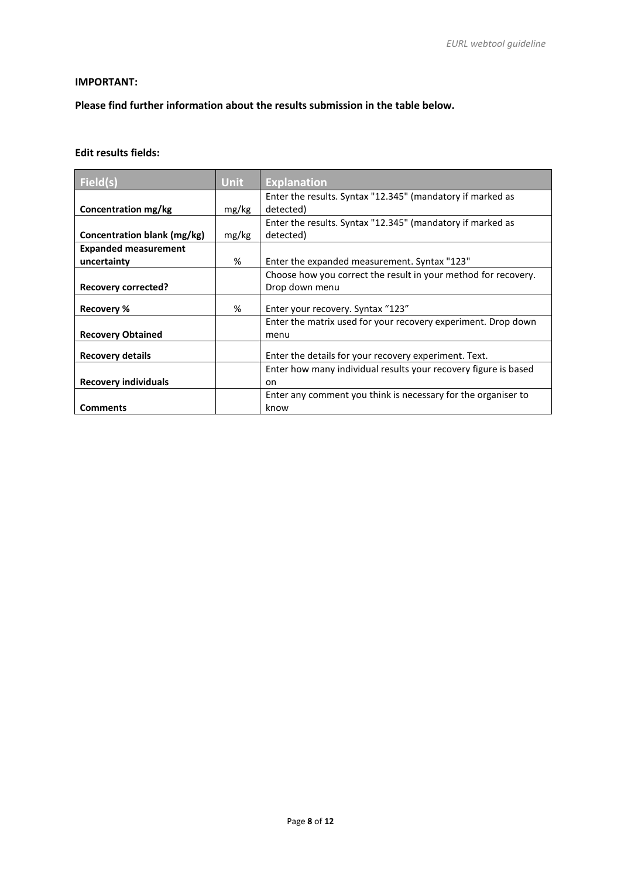#### **IMPORTANT:**

**Please find further information about the results submission in the table below.**

## **Edit results fields:**

| Field(s)                    | <b>Unit</b> | <b>Explanation</b>                                              |
|-----------------------------|-------------|-----------------------------------------------------------------|
|                             |             | Enter the results. Syntax "12.345" (mandatory if marked as      |
| Concentration mg/kg         | mg/kg       | detected)                                                       |
|                             |             | Enter the results. Syntax "12.345" (mandatory if marked as      |
| Concentration blank (mg/kg) | mg/kg       | detected)                                                       |
| <b>Expanded measurement</b> |             |                                                                 |
| uncertainty                 | %           | Enter the expanded measurement. Syntax "123"                    |
|                             |             | Choose how you correct the result in your method for recovery.  |
| <b>Recovery corrected?</b>  |             | Drop down menu                                                  |
| <b>Recovery %</b>           | %           | Enter your recovery. Syntax "123"                               |
|                             |             | Enter the matrix used for your recovery experiment. Drop down   |
| <b>Recovery Obtained</b>    |             | menu                                                            |
| <b>Recovery details</b>     |             | Enter the details for your recovery experiment. Text.           |
|                             |             | Enter how many individual results your recovery figure is based |
| <b>Recovery individuals</b> |             | on                                                              |
|                             |             | Enter any comment you think is necessary for the organiser to   |
| <b>Comments</b>             |             | know                                                            |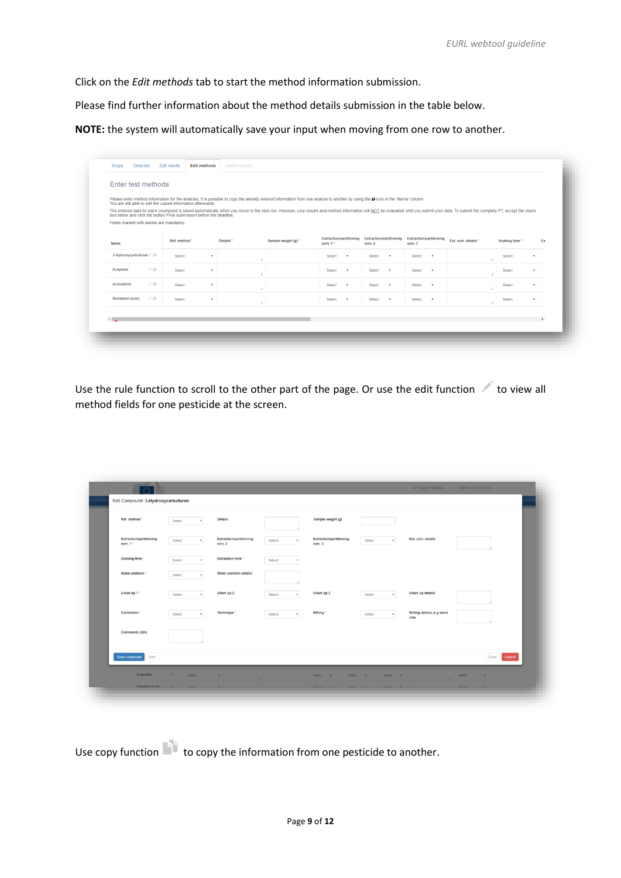Click on the *Edit methods* tab to start the method information submission.

Please find further information about the method details submission in the table below.

**NOTE:** the system will automatically save your input when moving from one row to another.

|                                           |             | You are still able to edit the copied information afterwards.        |                          |                      | Please enter method information for the analytes. It is possible to copy the already entered information from one analyte to another by using the to in the 'Name' column.                                                    |                                            |              |                                           |                           |                                           |                           |                      |    |                |              |
|-------------------------------------------|-------------|----------------------------------------------------------------------|--------------------------|----------------------|-------------------------------------------------------------------------------------------------------------------------------------------------------------------------------------------------------------------------------|--------------------------------------------|--------------|-------------------------------------------|---------------------------|-------------------------------------------|---------------------------|----------------------|----|----------------|--------------|
|                                           |             | box below and click the button Final submission before the deadline. |                          |                      | The entered data for each coumpund is saved automatically when you move to the next row. However, your results and method information will NOT be evaluated until you submit your data. To submit the complete PT, accept the |                                            |              |                                           |                           |                                           |                           |                      |    |                |              |
| Fields marked with astrisk are mandatory. |             |                                                                      |                          |                      |                                                                                                                                                                                                                               |                                            |              |                                           |                           |                                           |                           |                      |    |                |              |
| Name                                      |             | Ref. method *                                                        |                          | Details <sup>*</sup> | Sample weight (g) *                                                                                                                                                                                                           | <b>Extraction/partitioning</b><br>solv. 1* |              | <b>Extraction/partitioning</b><br>solv. 2 |                           | <b>Extraction/partitioning</b><br>solv. 3 |                           | Ext. solv. details * |    | Soaking time * | Ex           |
| 3-Hydroxycarbofuran                       |             | Select                                                               | $\cdot$                  | h                    |                                                                                                                                                                                                                               | Select                                     | $\mathbf{v}$ | Select                                    | $\mathbf{v}$              | Select                                    | $\mathbf{v}$              |                      | s. | Select         | $\mathbf{r}$ |
| Acephate                                  | 乙亩          | Select                                                               | $\overline{\phantom{a}}$ | h                    |                                                                                                                                                                                                                               | Select                                     | $\mathbf{v}$ | Select                                    | $\boldsymbol{\mathrm{v}}$ | Select                                    | $\mathbf{v}$              |                      | h  | Select         | $\mathbf{v}$ |
| Acrinathrin                               | √ tít       | Select                                                               | $\;$                     | 1,                   |                                                                                                                                                                                                                               | Select                                     | $\mathbf{v}$ | Select                                    | $\mathbf{v}$              | Select                                    | $\boldsymbol{\mathrm{v}}$ |                      | i. | Select         | ٠            |
| Benalaxyl (sum)                           | <b>∕</b> 10 | Select                                                               | $\mathbf{v}$             | h                    |                                                                                                                                                                                                                               | Select                                     | $\mathbf{v}$ | Select                                    | $\boldsymbol{\mathrm{v}}$ | Select                                    | $\boldsymbol{\mathrm{v}}$ |                      | i. | Select         | $\cdot$      |

Use the rule function to scroll to the other part of the page. Or use the edit function to view all method fields for one pesticide at the screen.

| Ref. method *                               | Select                 | <b>Details</b>                            |             | Sample weight (g)                         |                               |                                    |                 |
|---------------------------------------------|------------------------|-------------------------------------------|-------------|-------------------------------------------|-------------------------------|------------------------------------|-----------------|
| <b>Extraction/partitioning</b><br>solv. 1 * | Select<br>$\mathbf{v}$ | <b>Extraction/partitioning</b><br>solv. 2 | Select      | <b>Extraction/partitioning</b><br>solv. 3 | Select<br>$\mathbf{v}$        | Ext. solv. details                 |                 |
| Soaking time *                              | Select                 | <b>Extraction time *</b>                  | Select      |                                           |                               |                                    |                 |
| Water addition *                            | Select<br>٠            | Water addition details                    |             |                                           |                               |                                    |                 |
| Clean up 1 *                                | Select<br>٠            | Clean up 2                                | Select<br>٠ | Clean up 3                                | Select<br>$\;$                | Clean up details                   |                 |
| Calibration *                               | Select<br>٠            | Technique <sup>*</sup>                    | Select      | Milling *                                 | Select<br>$\scriptstyle\rm v$ | Milling details, e.g sieve<br>size |                 |
| Comments (300)                              |                        |                                           |             |                                           |                               |                                    |                 |
| Next<br>Save compound                       |                        |                                           |             |                                           |                               |                                    | Cancel<br>Close |

Use copy function to copy the information from one pesticide to another.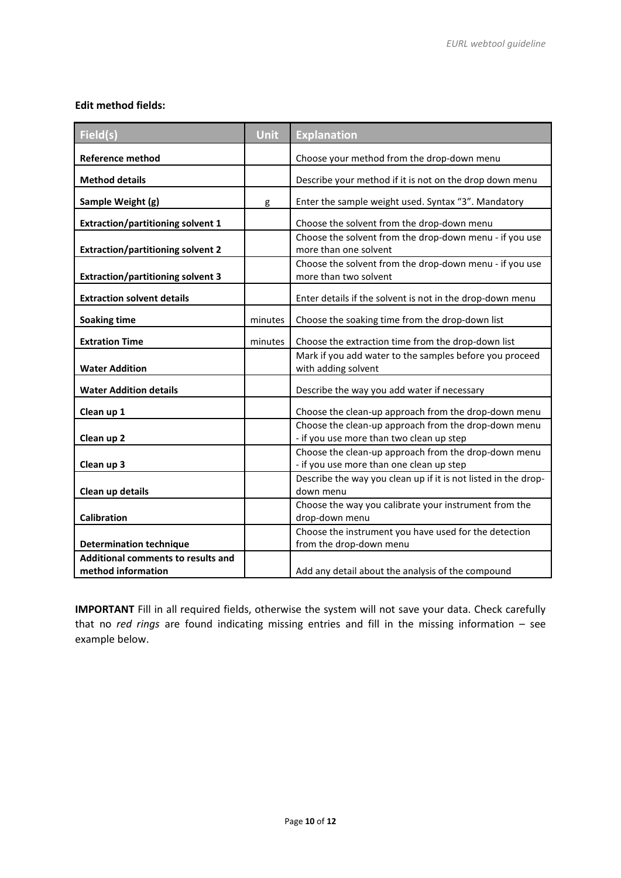#### **Edit method fields:**

| Field(s)                                                        | <b>Unit</b> | <b>Explanation</b>                                                                               |
|-----------------------------------------------------------------|-------------|--------------------------------------------------------------------------------------------------|
| <b>Reference method</b>                                         |             | Choose your method from the drop-down menu                                                       |
| <b>Method details</b>                                           |             | Describe your method if it is not on the drop down menu                                          |
| Sample Weight (g)                                               | g           | Enter the sample weight used. Syntax "3". Mandatory                                              |
| <b>Extraction/partitioning solvent 1</b>                        |             | Choose the solvent from the drop-down menu                                                       |
| <b>Extraction/partitioning solvent 2</b>                        |             | Choose the solvent from the drop-down menu - if you use<br>more than one solvent                 |
| <b>Extraction/partitioning solvent 3</b>                        |             | Choose the solvent from the drop-down menu - if you use<br>more than two solvent                 |
| <b>Extraction solvent details</b>                               |             | Enter details if the solvent is not in the drop-down menu                                        |
| <b>Soaking time</b>                                             | minutes     | Choose the soaking time from the drop-down list                                                  |
| <b>Extration Time</b>                                           | minutes     | Choose the extraction time from the drop-down list                                               |
| <b>Water Addition</b>                                           |             | Mark if you add water to the samples before you proceed<br>with adding solvent                   |
| <b>Water Addition details</b>                                   |             | Describe the way you add water if necessary                                                      |
| Clean up 1                                                      |             | Choose the clean-up approach from the drop-down menu                                             |
| Clean up 2                                                      |             | Choose the clean-up approach from the drop-down menu<br>- if you use more than two clean up step |
| Clean up 3                                                      |             | Choose the clean-up approach from the drop-down menu<br>- if you use more than one clean up step |
| Clean up details                                                |             | Describe the way you clean up if it is not listed in the drop-<br>down menu                      |
| Calibration                                                     |             | Choose the way you calibrate your instrument from the<br>drop-down menu                          |
| <b>Determination technique</b>                                  |             | Choose the instrument you have used for the detection<br>from the drop-down menu                 |
| <b>Additional comments to results and</b><br>method information |             | Add any detail about the analysis of the compound                                                |

**IMPORTANT** Fill in all required fields, otherwise the system will not save your data. Check carefully that no *red rings* are found indicating missing entries and fill in the missing information – see example below.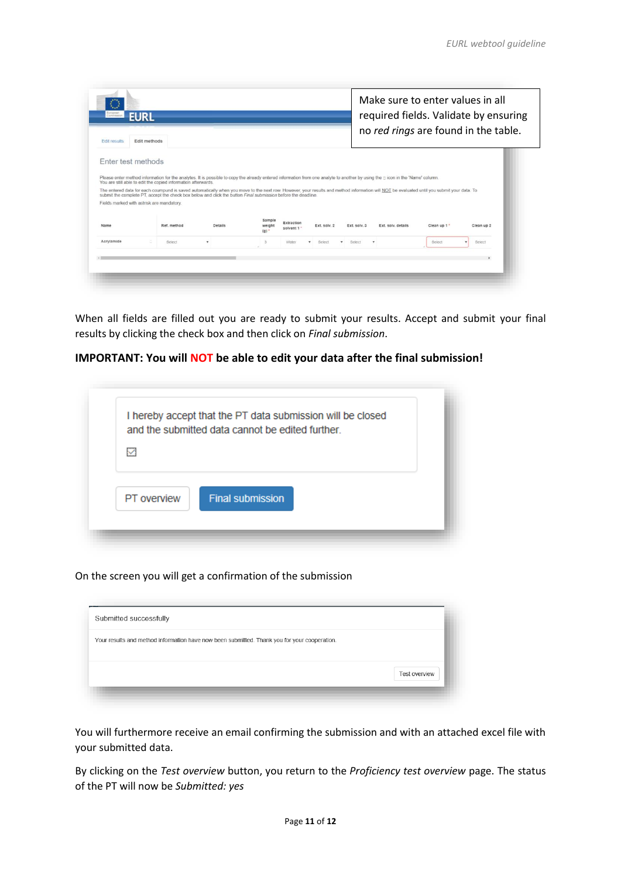| European<br>Commission<br><b>EURL</b>     |                                                                                                                                                                                                                                                                                                             |         |                         |                           |              |              |                    |              | Make sure to enter values in all<br>required fields. Validate by ensuring |
|-------------------------------------------|-------------------------------------------------------------------------------------------------------------------------------------------------------------------------------------------------------------------------------------------------------------------------------------------------------------|---------|-------------------------|---------------------------|--------------|--------------|--------------------|--------------|---------------------------------------------------------------------------|
| <b>Edit results</b>                       | Edit methods                                                                                                                                                                                                                                                                                                |         |                         |                           |              |              |                    |              | no red rings are found in the table.                                      |
| Enter test methods                        |                                                                                                                                                                                                                                                                                                             |         |                         |                           |              |              |                    |              |                                                                           |
|                                           | Please enter method information for the analytes. It is possible to copy the already entered information from one analyte to another by using the picon in the 'Name' column.<br>You are still able to edit the copied information afterwards.                                                              |         |                         |                           |              |              |                    |              |                                                                           |
|                                           | The entered data for each coumpund is saved automatically when you move to the next row. However, your results and method information will NOT be evaluated until you submit your data. To<br>submit the complete PT, accept the check box below and click the button Final submission before the deadline. |         |                         |                           |              |              |                    |              |                                                                           |
| Fields marked with astrisk are mandatory. |                                                                                                                                                                                                                                                                                                             |         |                         |                           |              |              |                    |              |                                                                           |
|                                           |                                                                                                                                                                                                                                                                                                             |         |                         |                           |              |              |                    |              |                                                                           |
|                                           | Ref. method                                                                                                                                                                                                                                                                                                 | Details | Sample<br>weight<br>(a) | Extraction<br>solvent 1 * | Ext. solv. 2 | Ext. solv. 3 | Ext. solv. details | Clean up 1 * | Clean up 2                                                                |
|                                           | Select                                                                                                                                                                                                                                                                                                      | $\tau$  | 3                       | Water                     | Select       | Select       | ٠                  | Select       | Select                                                                    |
| Name<br>Acrylamide                        |                                                                                                                                                                                                                                                                                                             |         |                         |                           |              |              |                    |              |                                                                           |

When all fields are filled out you are ready to submit your results. Accept and submit your final results by clicking the check box and then click on *Final submission*.

#### **IMPORTANT: You will NOT be able to edit your data after the final submission!**

|              | and the submitted data cannot be edited further. |  |
|--------------|--------------------------------------------------|--|
| $\checkmark$ |                                                  |  |
|              |                                                  |  |
| PT overview  | <b>Final submission</b>                          |  |

On the screen you will get a confirmation of the submission

| Submitted successfully                                                                       |               |
|----------------------------------------------------------------------------------------------|---------------|
| Your results and method information have now been submitted. Thank you for your cooperation. |               |
|                                                                                              | Test overview |
|                                                                                              |               |

You will furthermore receive an email confirming the submission and with an attached excel file with your submitted data.

By clicking on the *Test overview* button, you return to the *Proficiency test overview* page. The status of the PT will now be *Submitted: yes*